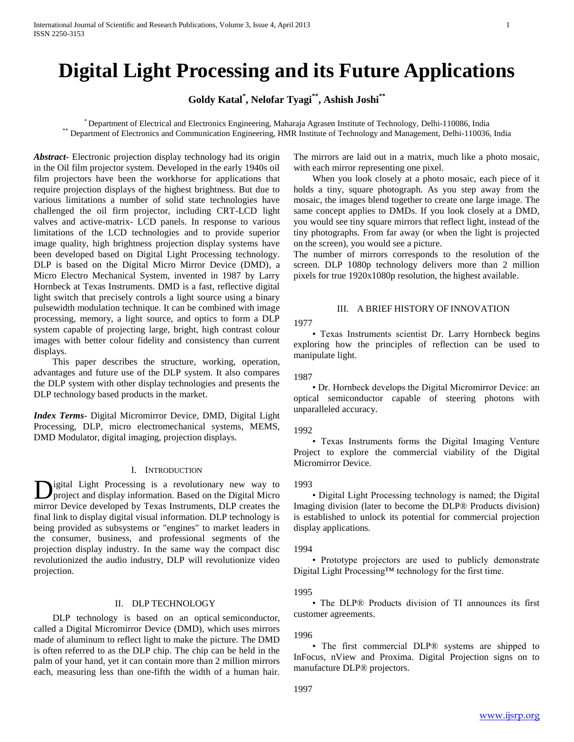# **Digital Light Processing and its Future Applications**

**Goldy Katal\* , Nelofar Tyagi\*\* , Ashish Joshi\*\***

\* Department of Electrical and Electronics Engineering, Maharaja Agrasen Institute of Technology, Delhi-110086, India \*\* Department of Electronics and Communication Engineering, HMR Institute of Technology and Management, Delhi-110036, India

*Abstract***-** Electronic projection display technology had its origin in the Oil film projector system. Developed in the early 1940s oil film projectors have been the workhorse for applications that require projection displays of the highest brightness. But due to various limitations a number of solid state technologies have challenged the oil firm projector, including CRT-LCD light valves and active-matrix- LCD panels. In response to various limitations of the LCD technologies and to provide superior image quality, high brightness projection display systems have been developed based on Digital Light Processing technology. DLP is based on the Digital Micro Mirror Device (DMD), a Micro Electro Mechanical System, invented in 1987 by Larry Hornbeck at Texas Instruments. DMD is a fast, reflective digital light switch that precisely controls a light source using a binary pulsewidth modulation technique. It can be combined with image processing, memory, a light source, and optics to form a DLP system capable of projecting large, bright, high contrast colour images with better colour fidelity and consistency than current displays.

 This paper describes the structure, working, operation, advantages and future use of the DLP system. It also compares the DLP system with other display technologies and presents the DLP technology based products in the market.

*Index Terms*- Digital Micromirror Device, DMD, Digital Light Processing, DLP, micro electromechanical systems, MEMS, DMD Modulator, digital imaging, projection displays.

## I. INTRODUCTION

igital Light Processing is a revolutionary new way to **D**igital Light Processing is a revolutionary new way to project and display information. Based on the Digital Micro mirror Device developed by Texas Instruments, DLP creates the final link to display digital visual information. DLP technology is being provided as subsystems or "engines" to market leaders in the consumer, business, and professional segments of the projection display industry. In the same way the compact disc revolutionized the audio industry, DLP will revolutionize video projection.

# II. DLP TECHNOLOGY

 DLP technology is based on an optical semiconductor, called a Digital Micromirror Device (DMD), which uses mirrors made of aluminum to reflect light to make the picture. The DMD is often referred to as the DLP chip. The chip can be held in the palm of your hand, yet it can contain more than 2 million mirrors each, measuring less than one-fifth the width of a human hair.

The mirrors are laid out in a matrix, much like a photo mosaic, with each mirror representing one pixel.

 When you look closely at a photo mosaic, each piece of it holds a tiny, square photograph. As you step away from the mosaic, the images blend together to create one large image. The same concept applies to DMDs. If you look closely at a DMD, you would see tiny square mirrors that reflect light, instead of the tiny photographs. From far away (or when the light is projected on the screen), you would see a picture.

The number of mirrors corresponds to the resolution of the screen. DLP 1080p technology delivers more than 2 million pixels for true 1920x1080p resolution, the highest available.

## III. A BRIEF HISTORY OF INNOVATION

1977

 • Texas Instruments scientist Dr. Larry Hornbeck begins exploring how the principles of reflection can be used to manipulate light.

1987

 • Dr. Hornbeck develops the Digital Micromirror Device: an optical semiconductor capable of steering photons with unparalleled accuracy.

## 1992

 • Texas Instruments forms the Digital Imaging Venture Project to explore the commercial viability of the Digital Micromirror Device.

#### 1993

 • Digital Light Processing technology is named; the Digital Imaging division (later to become the DLP® Products division) is established to unlock its potential for commercial projection display applications.

#### 1994

 • Prototype projectors are used to publicly demonstrate Digital Light Processing™ technology for the first time.

## 1995

 • The DLP® Products division of TI announces its first customer agreements.

## 1996

 • The first commercial DLP® systems are shipped to InFocus, nView and Proxima. Digital Projection signs on to manufacture DLP® projectors.

1997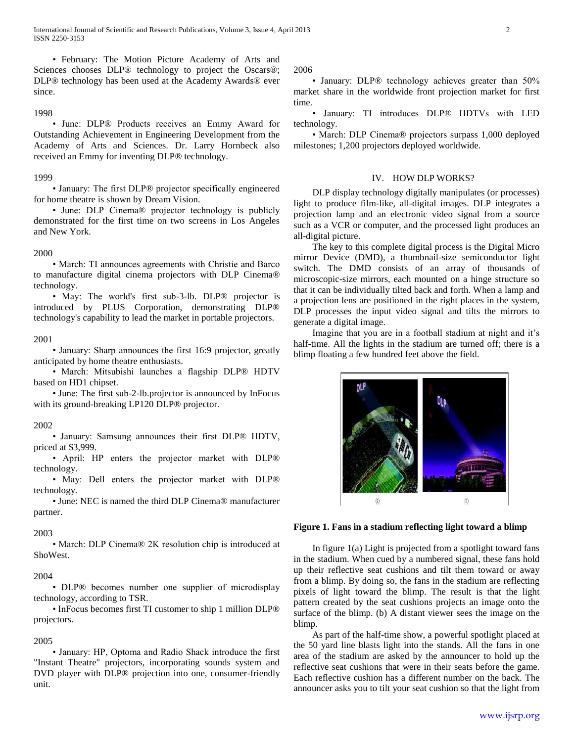• February: The Motion Picture Academy of Arts and Sciences chooses DLP® technology to project the Oscars®; DLP® technology has been used at the Academy Awards® ever since.

## 1998

 • June: DLP® Products receives an Emmy Award for Outstanding Achievement in Engineering Development from the Academy of Arts and Sciences. Dr. Larry Hornbeck also received an Emmy for inventing DLP® technology.

#### 1999

 • January: The first DLP® projector specifically engineered for home theatre is shown by Dream Vision.

 • June: DLP Cinema® projector technology is publicly demonstrated for the first time on two screens in Los Angeles and New York.

#### 2000

 • March: TI announces agreements with Christie and Barco to manufacture digital cinema projectors with DLP Cinema® technology.

• May: The world's first sub-3-lb. DLP<sup>®</sup> projector is introduced by PLUS Corporation, demonstrating DLP® technology's capability to lead the market in portable projectors.

#### 2001

 • January: Sharp announces the first 16:9 projector, greatly anticipated by home theatre enthusiasts.

 • March: Mitsubishi launches a flagship DLP® HDTV based on HD1 chipset.

 • June: The first sub-2-lb.projector is announced by InFocus with its ground-breaking LP120 DLP<sup>®</sup> projector.

#### 2002

 • January: Samsung announces their first DLP® HDTV, priced at \$3,999.

 • April: HP enters the projector market with DLP® technology.

 • May: Dell enters the projector market with DLP® technology.

 • June: NEC is named the third DLP Cinema® manufacturer partner.

#### 2003

 • March: DLP Cinema® 2K resolution chip is introduced at ShoWest.

#### 2004

 • DLP® becomes number one supplier of microdisplay technology, according to TSR.

 • InFocus becomes first TI customer to ship 1 million DLP® projectors.

#### 2005

 • January: HP, Optoma and Radio Shack introduce the first "Instant Theatre" projectors, incorporating sounds system and DVD player with DLP® projection into one, consumer-friendly unit.

2006

• January: DLP® technology achieves greater than 50% market share in the worldwide front projection market for first time.

 • January: TI introduces DLP® HDTVs with LED technology.

 • March: DLP Cinema® projectors surpass 1,000 deployed milestones; 1,200 projectors deployed worldwide.

#### IV. HOW DLP WORKS?

 DLP display technology digitally manipulates (or processes) light to produce film-like, all-digital images. DLP integrates a projection lamp and an electronic video signal from a source such as a VCR or computer, and the processed light produces an all-digital picture.

 The key to this complete digital process is the Digital Micro mirror Device (DMD), a thumbnail-size semiconductor light switch. The DMD consists of an array of thousands of microscopic-size mirrors, each mounted on a hinge structure so that it can be individually tilted back and forth. When a lamp and a projection lens are positioned in the right places in the system, DLP processes the input video signal and tilts the mirrors to generate a digital image.

 Imagine that you are in a football stadium at night and it's half-time. All the lights in the stadium are turned off; there is a blimp floating a few hundred feet above the field.



## **Figure 1. Fans in a stadium reflecting light toward a blimp**

In figure  $1(a)$  Light is projected from a spotlight toward fans in the stadium. When cued by a numbered signal, these fans hold up their reflective seat cushions and tilt them toward or away from a blimp. By doing so, the fans in the stadium are reflecting pixels of light toward the blimp. The result is that the light pattern created by the seat cushions projects an image onto the surface of the blimp. (b) A distant viewer sees the image on the blimp.

 As part of the half-time show, a powerful spotlight placed at the 50 yard line blasts light into the stands. All the fans in one area of the stadium are asked by the announcer to hold up the reflective seat cushions that were in their seats before the game. Each reflective cushion has a different number on the back. The announcer asks you to tilt your seat cushion so that the light from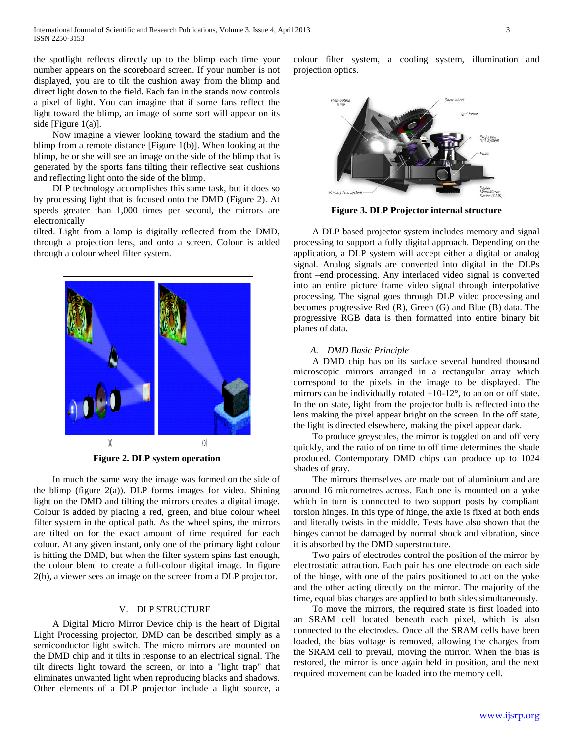the spotlight reflects directly up to the blimp each time your number appears on the scoreboard screen. If your number is not displayed, you are to tilt the cushion away from the blimp and direct light down to the field. Each fan in the stands now controls a pixel of light. You can imagine that if some fans reflect the light toward the blimp, an image of some sort will appear on its side [Figure 1(a)].

 Now imagine a viewer looking toward the stadium and the blimp from a remote distance [Figure 1(b)]. When looking at the blimp, he or she will see an image on the side of the blimp that is generated by the sports fans tilting their reflective seat cushions and reflecting light onto the side of the blimp.

 DLP technology accomplishes this same task, but it does so by processing light that is focused onto the DMD (Figure 2). At speeds greater than 1,000 times per second, the mirrors are electronically

tilted. Light from a lamp is digitally reflected from the DMD, through a projection lens, and onto a screen. Colour is added through a colour wheel filter system.



**Figure 2. DLP system operation**

 In much the same way the image was formed on the side of the blimp (figure  $2(a)$ ). DLP forms images for video. Shining light on the DMD and tilting the mirrors creates a digital image. Colour is added by placing a red, green, and blue colour wheel filter system in the optical path. As the wheel spins, the mirrors are tilted on for the exact amount of time required for each colour. At any given instant, only one of the primary light colour is hitting the DMD, but when the filter system spins fast enough, the colour blend to create a full-colour digital image. In figure 2(b), a viewer sees an image on the screen from a DLP projector.

## V. DLP STRUCTURE

 A Digital Micro Mirror Device chip is the heart of Digital Light Processing projector, DMD can be described simply as a semiconductor light switch. The micro mirrors are mounted on the DMD chip and it tilts in response to an electrical signal. The tilt directs light toward the screen, or into a "light trap" that eliminates unwanted light when reproducing blacks and shadows. Other elements of a DLP projector include a light source, a

colour filter system, a cooling system, illumination and projection optics.



**Figure 3. DLP Projector internal structure**

 A DLP based projector system includes memory and signal processing to support a fully digital approach. Depending on the application, a DLP system will accept either a digital or analog signal. Analog signals are converted into digital in the DLPs front –end processing. Any interlaced video signal is converted into an entire picture frame video signal through interpolative processing. The signal goes through DLP video processing and becomes progressive Red (R), Green (G) and Blue (B) data. The progressive RGB data is then formatted into entire binary bit planes of data.

## *A. DMD Basic Principle*

 A DMD chip has on its surface several hundred thousand microscopic mirrors arranged in a rectangular array which correspond to the pixels in the image to be displayed. The mirrors can be individually rotated  $\pm 10$ -12°, to an on or off state. In the on state, light from the projector bulb is reflected into the lens making the pixel appear bright on the screen. In the off state, the light is directed elsewhere, making the pixel appear dark.

 To produce greyscales, the mirror is toggled on and off very quickly, and the ratio of on time to off time determines the shade produced. Contemporary DMD chips can produce up to 1024 shades of gray.

 The mirrors themselves are made out of aluminium and are around 16 micrometres across. Each one is mounted on a yoke which in turn is connected to two support posts by compliant torsion hinges. In this type of hinge, the axle is fixed at both ends and literally twists in the middle. Tests have also shown that the hinges cannot be damaged by normal shock and vibration, since it is absorbed by the DMD superstructure.

 Two pairs of electrodes control the position of the mirror by electrostatic attraction. Each pair has one electrode on each side of the hinge, with one of the pairs positioned to act on the yoke and the other acting directly on the mirror. The majority of the time, equal bias charges are applied to both sides simultaneously.

 To move the mirrors, the required state is first loaded into an SRAM cell located beneath each pixel, which is also connected to the electrodes. Once all the SRAM cells have been loaded, the bias voltage is removed, allowing the charges from the SRAM cell to prevail, moving the mirror. When the bias is restored, the mirror is once again held in position, and the next required movement can be loaded into the memory cell.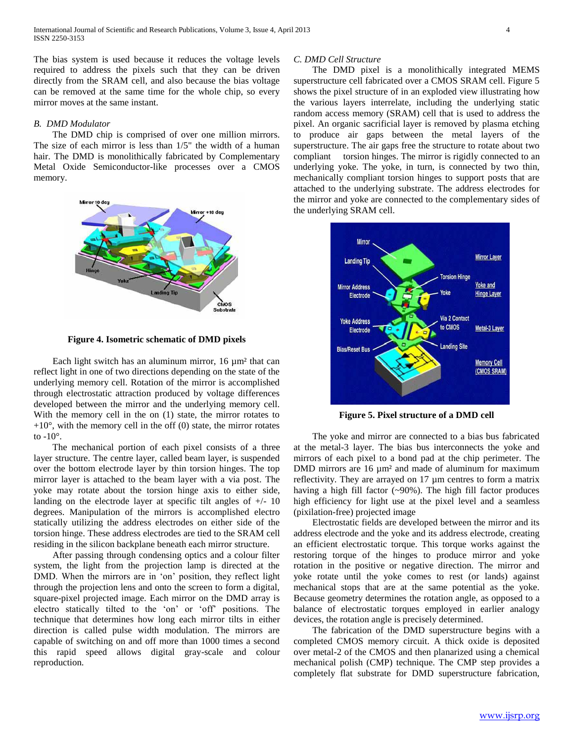The bias system is used because it reduces the voltage levels required to address the pixels such that they can be driven directly from the SRAM cell, and also because the bias voltage can be removed at the same time for the whole chip, so every mirror moves at the same instant.

## *B. DMD Modulator*

 The DMD chip is comprised of over one million mirrors. The size of each mirror is less than 1/5" the width of a human hair. The DMD is monolithically fabricated by Complementary Metal Oxide Semiconductor-like processes over a CMOS memory.



**Figure 4. Isometric schematic of DMD pixels**

Each light switch has an aluminum mirror, 16  $\mu$ m<sup>2</sup> that can reflect light in one of two directions depending on the state of the underlying memory cell. Rotation of the mirror is accomplished through electrostatic attraction produced by voltage differences developed between the mirror and the underlying memory cell. With the memory cell in the on (1) state, the mirror rotates to  $+10^{\circ}$ , with the memory cell in the off (0) state, the mirror rotates to  $-10^\circ$ .

 The mechanical portion of each pixel consists of a three layer structure. The centre layer, called beam layer, is suspended over the bottom electrode layer by thin torsion hinges. The top mirror layer is attached to the beam layer with a via post. The yoke may rotate about the torsion hinge axis to either side, landing on the electrode layer at specific tilt angles of  $+/- 10$ degrees. Manipulation of the mirrors is accomplished electro statically utilizing the address electrodes on either side of the torsion hinge. These address electrodes are tied to the SRAM cell residing in the silicon backplane beneath each mirror structure.

 After passing through condensing optics and a colour filter system, the light from the projection lamp is directed at the DMD. When the mirrors are in 'on' position, they reflect light through the projection lens and onto the screen to form a digital, square-pixel projected image. Each mirror on the DMD array is electro statically tilted to the 'on' or 'off' positions. The technique that determines how long each mirror tilts in either direction is called pulse width modulation. The mirrors are capable of switching on and off more than 1000 times a second this rapid speed allows digital gray-scale and colour reproduction.

#### *C. DMD Cell Structure*

 The DMD pixel is a monolithically integrated MEMS superstructure cell fabricated over a CMOS SRAM cell. Figure 5 shows the pixel structure of in an exploded view illustrating how the various layers interrelate, including the underlying static random access memory (SRAM) cell that is used to address the pixel. An organic sacrificial layer is removed by plasma etching to produce air gaps between the metal layers of the superstructure. The air gaps free the structure to rotate about two compliant torsion hinges. The mirror is rigidly connected to an underlying yoke. The yoke, in turn, is connected by two thin, mechanically compliant torsion hinges to support posts that are attached to the underlying substrate. The address electrodes for the mirror and yoke are connected to the complementary sides of the underlying SRAM cell.



**Figure 5. Pixel structure of a DMD cell**

 The yoke and mirror are connected to a bias bus fabricated at the metal-3 layer. The bias bus interconnects the yoke and mirrors of each pixel to a bond pad at the chip perimeter. The DMD mirrors are 16  $\mu$ m<sup>2</sup> and made of aluminum for maximum reflectivity. They are arrayed on 17 µm centres to form a matrix having a high fill factor (~90%). The high fill factor produces high efficiency for light use at the pixel level and a seamless (pixilation-free) projected image

 Electrostatic fields are developed between the mirror and its address electrode and the yoke and its address electrode, creating an efficient electrostatic torque. This torque works against the restoring torque of the hinges to produce mirror and yoke rotation in the positive or negative direction. The mirror and yoke rotate until the yoke comes to rest (or lands) against mechanical stops that are at the same potential as the yoke. Because geometry determines the rotation angle, as opposed to a balance of electrostatic torques employed in earlier analogy devices, the rotation angle is precisely determined.

 The fabrication of the DMD superstructure begins with a completed CMOS memory circuit. A thick oxide is deposited over metal-2 of the CMOS and then planarized using a chemical mechanical polish (CMP) technique. The CMP step provides a completely flat substrate for DMD superstructure fabrication,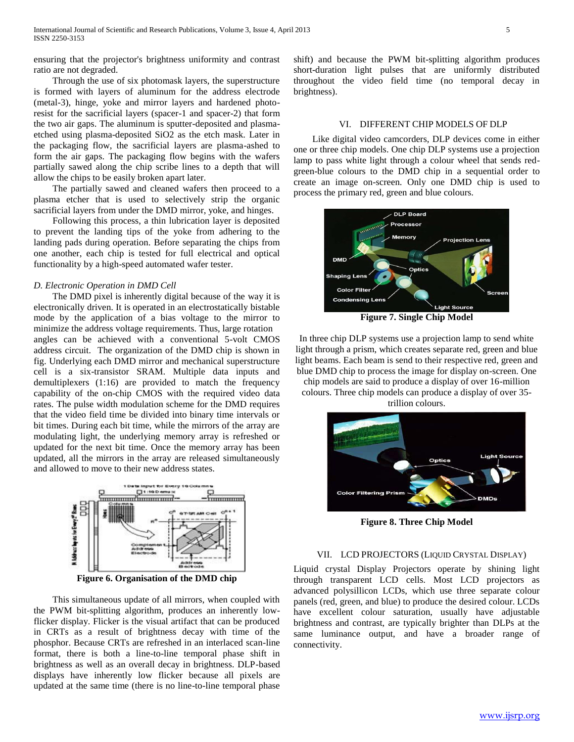ensuring that the projector's brightness uniformity and contrast ratio are not degraded.

 Through the use of six photomask layers, the superstructure is formed with layers of aluminum for the address electrode (metal-3), hinge, yoke and mirror layers and hardened photoresist for the sacrificial layers (spacer-1 and spacer-2) that form the two air gaps. The aluminum is sputter-deposited and plasmaetched using plasma-deposited SiO2 as the etch mask. Later in the packaging flow, the sacrificial layers are plasma-ashed to form the air gaps. The packaging flow begins with the wafers partially sawed along the chip scribe lines to a depth that will allow the chips to be easily broken apart later.

 The partially sawed and cleaned wafers then proceed to a plasma etcher that is used to selectively strip the organic sacrificial layers from under the DMD mirror, yoke, and hinges.

 Following this process, a thin lubrication layer is deposited to prevent the landing tips of the yoke from adhering to the landing pads during operation. Before separating the chips from one another, each chip is tested for full electrical and optical functionality by a high-speed automated wafer tester.

## *D. Electronic Operation in DMD Cell*

 The DMD pixel is inherently digital because of the way it is electronically driven. It is operated in an electrostatically bistable mode by the application of a bias voltage to the mirror to minimize the address voltage requirements. Thus, large rotation angles can be achieved with a conventional 5-volt CMOS address circuit. The organization of the DMD chip is shown in fig. Underlying each DMD mirror and mechanical superstructure cell is a six-transistor SRAM. Multiple data inputs and demultiplexers (1:16) are provided to match the frequency capability of the on-chip CMOS with the required video data rates. The pulse width modulation scheme for the DMD requires that the video field time be divided into binary time intervals or bit times. During each bit time, while the mirrors of the array are modulating light, the underlying memory array is refreshed or updated for the next bit time. Once the memory array has been updated, all the mirrors in the array are released simultaneously and allowed to move to their new address states.



**Figure 6. Organisation of the DMD chip**

 This simultaneous update of all mirrors, when coupled with the PWM bit-splitting algorithm, produces an inherently lowflicker display. Flicker is the visual artifact that can be produced in CRTs as a result of brightness decay with time of the phosphor. Because CRTs are refreshed in an interlaced scan-line format, there is both a line-to-line temporal phase shift in brightness as well as an overall decay in brightness. DLP-based displays have inherently low flicker because all pixels are updated at the same time (there is no line-to-line temporal phase shift) and because the PWM bit-splitting algorithm produces short-duration light pulses that are uniformly distributed throughout the video field time (no temporal decay in brightness).

## VI. DIFFERENT CHIP MODELS OF DLP

 Like digital video camcorders, DLP devices come in either one or three chip models. One chip DLP systems use a projection lamp to pass white light through a colour wheel that sends redgreen-blue colours to the DMD chip in a sequential order to create an image on-screen. Only one DMD chip is used to process the primary red, green and blue colours.



**Figure 7. Single Chip Model**

In three chip DLP systems use a projection lamp to send white light through a prism, which creates separate red, green and blue light beams. Each beam is send to their respective red, green and blue DMD chip to process the image for display on-screen. One chip models are said to produce a display of over 16-million colours. Three chip models can produce a display of over 35 trillion colours.



**Figure 8. Three Chip Model**

#### VII. LCD PROJECTORS (LIQUID CRYSTAL DISPLAY)

Liquid crystal Display Projectors operate by shining light through transparent LCD cells. Most LCD projectors as advanced polysillicon LCDs, which use three separate colour panels (red, green, and blue) to produce the desired colour. LCDs have excellent colour saturation, usually have adjustable brightness and contrast, are typically brighter than DLPs at the same luminance output, and have a broader range of connectivity.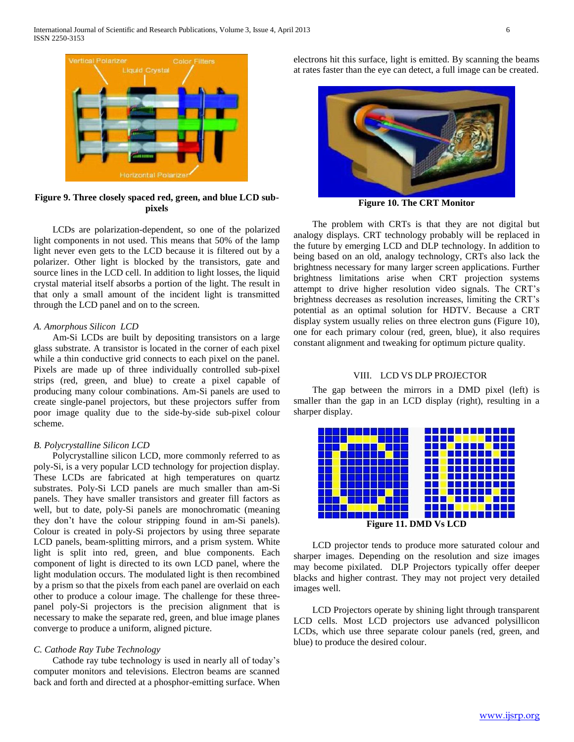

**Figure 9. Three closely spaced red, green, and blue LCD subpixels**

 LCDs are polarization-dependent, so one of the polarized light components in not used. This means that 50% of the lamp light never even gets to the LCD because it is filtered out by a polarizer. Other light is blocked by the transistors, gate and source lines in the LCD cell. In addition to light losses, the liquid crystal material itself absorbs a portion of the light. The result in that only a small amount of the incident light is transmitted through the LCD panel and on to the screen.

## *A. Amorphous Silicon LCD*

 Am-Si LCDs are built by depositing transistors on a large glass substrate. A transistor is located in the corner of each pixel while a thin conductive grid connects to each pixel on the panel. Pixels are made up of three individually controlled sub-pixel strips (red, green, and blue) to create a pixel capable of producing many colour combinations. Am-Si panels are used to create single-panel projectors, but these projectors suffer from poor image quality due to the side-by-side sub-pixel colour scheme.

## *B. Polycrystalline Silicon LCD*

 Polycrystalline silicon LCD, more commonly referred to as poly-Si, is a very popular LCD technology for projection display. These LCDs are fabricated at high temperatures on quartz substrates. Poly-Si LCD panels are much smaller than am-Si panels. They have smaller transistors and greater fill factors as well, but to date, poly-Si panels are monochromatic (meaning they don't have the colour stripping found in am-Si panels). Colour is created in poly-Si projectors by using three separate LCD panels, beam-splitting mirrors, and a prism system. White light is split into red, green, and blue components. Each component of light is directed to its own LCD panel, where the light modulation occurs. The modulated light is then recombined by a prism so that the pixels from each panel are overlaid on each other to produce a colour image. The challenge for these threepanel poly-Si projectors is the precision alignment that is necessary to make the separate red, green, and blue image planes converge to produce a uniform, aligned picture.

# *C. Cathode Ray Tube Technology*

 Cathode ray tube technology is used in nearly all of today's computer monitors and televisions. Electron beams are scanned back and forth and directed at a phosphor-emitting surface. When electrons hit this surface, light is emitted. By scanning the beams at rates faster than the eye can detect, a full image can be created.



**Figure 10. The CRT Monitor**

 The problem with CRTs is that they are not digital but analogy displays. CRT technology probably will be replaced in the future by emerging LCD and DLP technology. In addition to being based on an old, analogy technology, CRTs also lack the brightness necessary for many larger screen applications. Further brightness limitations arise when CRT projection systems attempt to drive higher resolution video signals. The CRT's brightness decreases as resolution increases, limiting the CRT's potential as an optimal solution for HDTV. Because a CRT display system usually relies on three electron guns (Figure 10), one for each primary colour (red, green, blue), it also requires constant alignment and tweaking for optimum picture quality.

#### VIII. LCD VS DLP PROJECTOR

 The gap between the mirrors in a DMD pixel (left) is smaller than the gap in an LCD display (right), resulting in a sharper display.



 LCD projector tends to produce more saturated colour and sharper images. Depending on the resolution and size images may become pixilated. DLP Projectors typically offer deeper blacks and higher contrast. They may not project very detailed images well.

 LCD Projectors operate by shining light through transparent LCD cells. Most LCD projectors use advanced polysillicon LCDs, which use three separate colour panels (red, green, and blue) to produce the desired colour.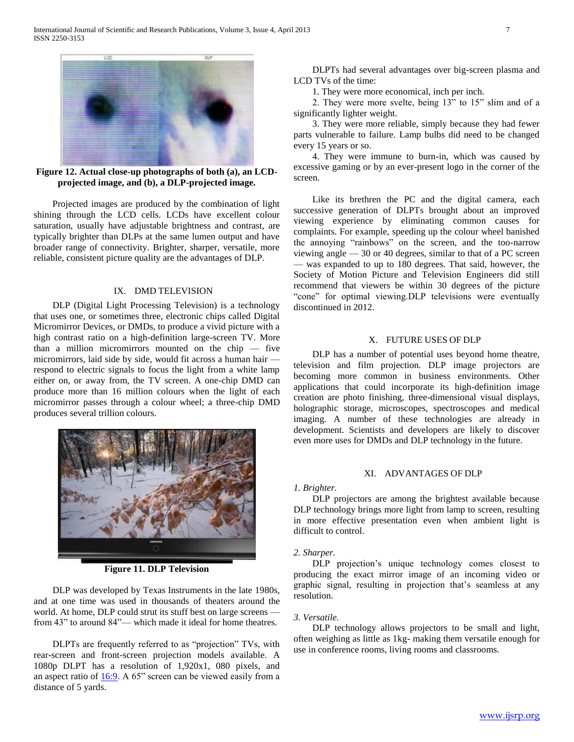

**Figure 12. Actual close-up photographs of both (a), an LCDprojected image, and (b), a DLP-projected image.**

 Projected images are produced by the combination of light shining through the LCD cells. LCDs have excellent colour saturation, usually have adjustable brightness and contrast, are typically brighter than DLPs at the same lumen output and have broader range of connectivity. Brighter, sharper, versatile, more reliable, consistent picture quality are the advantages of DLP.

# IX. DMD TELEVISION

 DLP (Digital Light Processing Television) is a technology that uses one, or sometimes three, electronic chips called Digital Micromirror Devices, or DMDs, to produce a vivid picture with a high contrast ratio on a high-definition large-screen TV. More than a million micromirrors mounted on the chip — five micromirrors, laid side by side, would fit across a human hair respond to electric signals to focus the light from a white lamp either on, or away from, the TV screen. A one-chip DMD can produce more than 16 million colours when the light of each micromirror passes through a colour wheel; a three-chip DMD produces several trillion colours.



**Figure 11. DLP Television**

 DLP was developed by Texas Instruments in the late 1980s, and at one time was used in thousands of theaters around the world. At home, DLP could strut its stuff best on large screens from 43" to around 84"— which made it ideal for home theatres.

 DLPTs are frequently referred to as "projection" TVs, with rear-screen and front-screen projection models available. A 1080p DLPT has a resolution of 1,920x1, 080 pixels, and an aspect ratio of  $16:9$ . A 65" screen can be viewed easily from a distance of 5 yards.

 DLPTs had several advantages over big-screen plasma and LCD TVs of the time:

1. They were more economical, inch per inch.

 2. They were more svelte, being 13" to 15" slim and of a significantly lighter weight.

 3. They were more reliable, simply because they had fewer parts vulnerable to failure. Lamp bulbs did need to be changed every 15 years or so.

 4. They were immune to burn-in, which was caused by excessive gaming or by an ever-present logo in the corner of the screen.

 Like its brethren the PC and the digital camera, each successive generation of DLPTs brought about an improved viewing experience by eliminating common causes for complaints. For example, speeding up the colour wheel banished the annoying "rainbows" on the screen, and the too-narrow viewing angle — 30 or 40 degrees, similar to that of a PC screen — was expanded to up to 180 degrees. That said, however, the Society of Motion Picture and Television Engineers did still recommend that viewers be within 30 degrees of the picture "cone" for optimal viewing.DLP televisions were eventually discontinued in 2012.

# X. FUTURE USES OF DLP

 DLP has a number of potential uses beyond home theatre, television and film projection. DLP image projectors are becoming more common in business environments. Other applications that could incorporate its high-definition image creation are photo finishing, three-dimensional visual displays, holographic storage, microscopes, spectroscopes and medical imaging. A number of these technologies are already in development. Scientists and developers are likely to discover even more uses for DMDs and DLP technology in the future.

# XI. ADVANTAGES OF DLP

## *1. Brighter.*

 DLP projectors are among the brightest available because DLP technology brings more light from lamp to screen, resulting in more effective presentation even when ambient light is difficult to control.

## *2. Sharper.*

 DLP projection's unique technology comes closest to producing the exact mirror image of an incoming video or graphic signal, resulting in projection that's seamless at any resolution.

## *3. Versatile.*

 DLP technology allows projectors to be small and light, often weighing as little as 1kg- making them versatile enough for use in conference rooms, living rooms and classrooms.